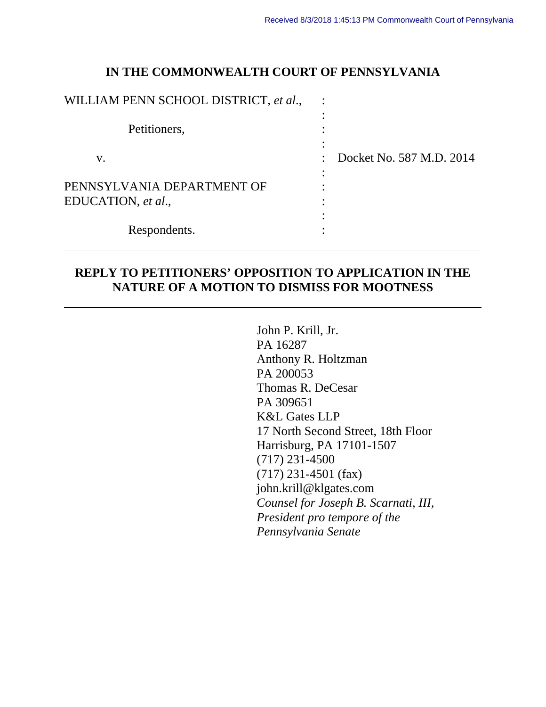### **IN THE COMMONWEALTH COURT OF PENNSYLVANIA**

| WILLIAM PENN SCHOOL DISTRICT, et al.,            |                          |
|--------------------------------------------------|--------------------------|
| Petitioners,                                     |                          |
| V.                                               | Docket No. 587 M.D. 2014 |
| PENNSYLVANIA DEPARTMENT OF<br>EDUCATION, et al., |                          |
| Respondents.                                     |                          |

## **REPLY TO PETITIONERS' OPPOSITION TO APPLICATION IN THE NATURE OF A MOTION TO DISMISS FOR MOOTNESS**

 $\overline{a}$ 

John P. Krill, Jr. PA 16287 Anthony R. Holtzman PA 200053 Thomas R. DeCesar PA 309651 K&L Gates LLP 17 North Second Street, 18th Floor Harrisburg, PA 17101-1507 (717) 231-4500 (717) 231-4501 (fax) john.krill@klgates.com *Counsel for Joseph B. Scarnati, III, President pro tempore of the Pennsylvania Senate*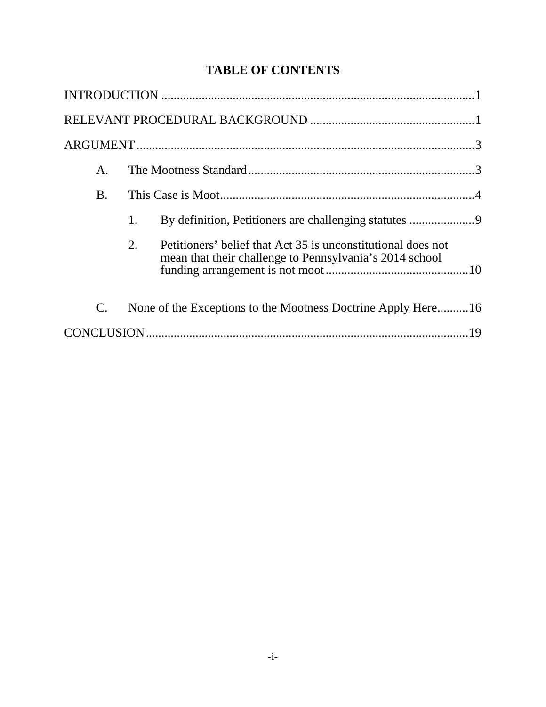## **TABLE OF CONTENTS**

| А.             |    |                                                                                                                         |  |
|----------------|----|-------------------------------------------------------------------------------------------------------------------------|--|
| <b>B.</b>      |    |                                                                                                                         |  |
|                | 1. | By definition, Petitioners are challenging statutes 9                                                                   |  |
|                | 2. | Petitioners' belief that Act 35 is unconstitutional does not<br>mean that their challenge to Pennsylvania's 2014 school |  |
| $\mathbf{C}$ . |    | None of the Exceptions to the Mootness Doctrine Apply Here16                                                            |  |
|                |    |                                                                                                                         |  |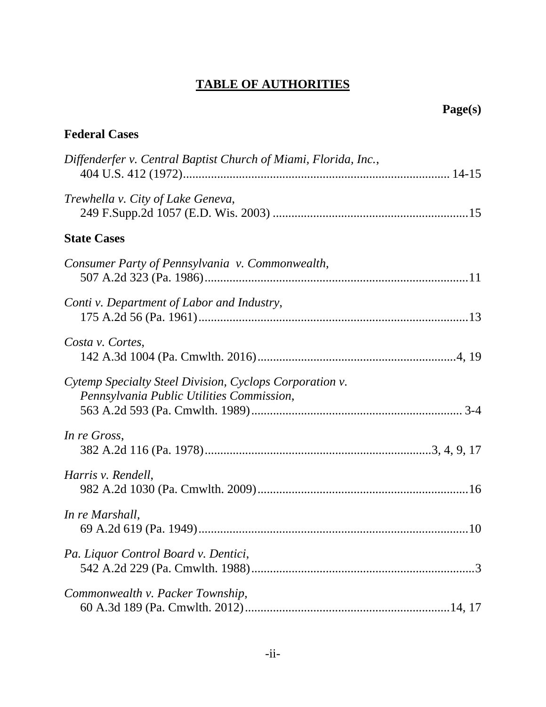# **TABLE OF AUTHORITIES**

| <b>Federal Cases</b>                                                                                 |  |
|------------------------------------------------------------------------------------------------------|--|
| Diffenderfer v. Central Baptist Church of Miami, Florida, Inc.,                                      |  |
| Trewhella v. City of Lake Geneva,                                                                    |  |
| <b>State Cases</b>                                                                                   |  |
| Consumer Party of Pennsylvania v. Commonwealth,                                                      |  |
| Conti v. Department of Labor and Industry,                                                           |  |
| Costa v. Cortes,                                                                                     |  |
| Cytemp Specialty Steel Division, Cyclops Corporation v.<br>Pennsylvania Public Utilities Commission, |  |
| In re Gross,                                                                                         |  |
| Harris v. Rendell,                                                                                   |  |
| In re Marshall,                                                                                      |  |
| Pa. Liquor Control Board v. Dentici,                                                                 |  |
| Commonwealth v. Packer Township,                                                                     |  |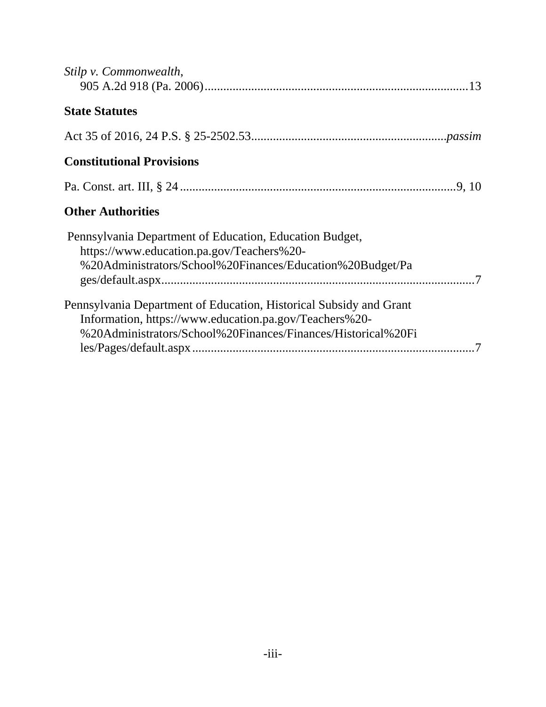| Stilp v. Commonwealth,                                                                                                                                                                       |
|----------------------------------------------------------------------------------------------------------------------------------------------------------------------------------------------|
| <b>State Statutes</b>                                                                                                                                                                        |
|                                                                                                                                                                                              |
| <b>Constitutional Provisions</b>                                                                                                                                                             |
|                                                                                                                                                                                              |
| <b>Other Authorities</b>                                                                                                                                                                     |
| Pennsylvania Department of Education, Education Budget,<br>https://www.education.pa.gov/Teachers%20-<br>%20Administrators/School%20Finances/Education%20Budget/Pa                            |
| Pennsylvania Department of Education, Historical Subsidy and Grant<br>Information, https://www.education.pa.gov/Teachers%20-<br>%20Administrators/School%20Finances/Finances/Historical%20Fi |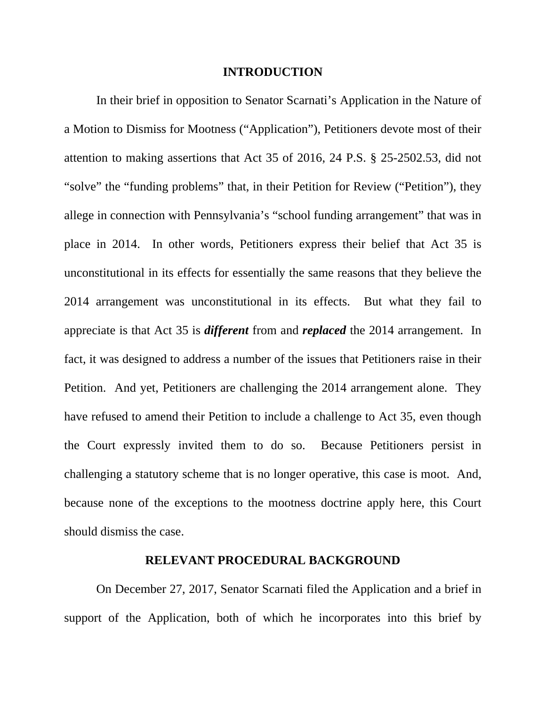#### **INTRODUCTION**

 In their brief in opposition to Senator Scarnati's Application in the Nature of a Motion to Dismiss for Mootness ("Application"), Petitioners devote most of their attention to making assertions that Act 35 of 2016, 24 P.S. § 25-2502.53, did not "solve" the "funding problems" that, in their Petition for Review ("Petition"), they allege in connection with Pennsylvania's "school funding arrangement" that was in place in 2014. In other words, Petitioners express their belief that Act 35 is unconstitutional in its effects for essentially the same reasons that they believe the 2014 arrangement was unconstitutional in its effects. But what they fail to appreciate is that Act 35 is *different* from and *replaced* the 2014 arrangement. In fact, it was designed to address a number of the issues that Petitioners raise in their Petition. And yet, Petitioners are challenging the 2014 arrangement alone. They have refused to amend their Petition to include a challenge to Act 35, even though the Court expressly invited them to do so. Because Petitioners persist in challenging a statutory scheme that is no longer operative, this case is moot. And, because none of the exceptions to the mootness doctrine apply here, this Court should dismiss the case.

#### **RELEVANT PROCEDURAL BACKGROUND**

 On December 27, 2017, Senator Scarnati filed the Application and a brief in support of the Application, both of which he incorporates into this brief by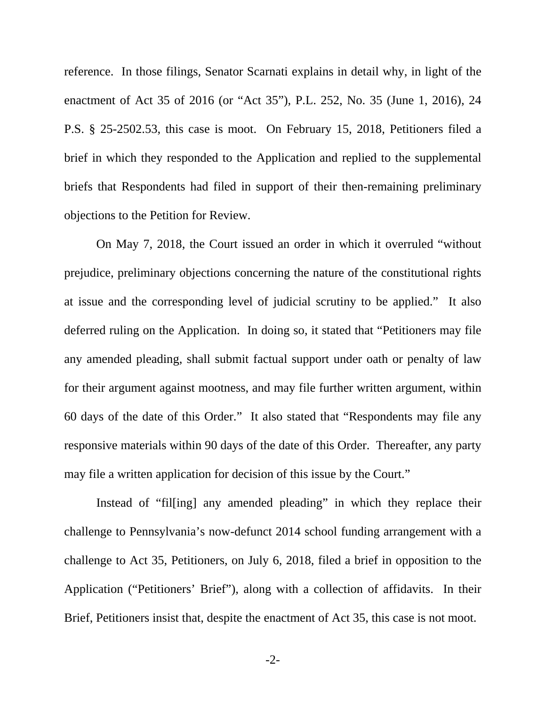reference. In those filings, Senator Scarnati explains in detail why, in light of the enactment of Act 35 of 2016 (or "Act 35"), P.L. 252, No. 35 (June 1, 2016), 24 P.S. § 25-2502.53, this case is moot. On February 15, 2018, Petitioners filed a brief in which they responded to the Application and replied to the supplemental briefs that Respondents had filed in support of their then-remaining preliminary objections to the Petition for Review.

 On May 7, 2018, the Court issued an order in which it overruled "without prejudice, preliminary objections concerning the nature of the constitutional rights at issue and the corresponding level of judicial scrutiny to be applied." It also deferred ruling on the Application. In doing so, it stated that "Petitioners may file any amended pleading, shall submit factual support under oath or penalty of law for their argument against mootness, and may file further written argument, within 60 days of the date of this Order." It also stated that "Respondents may file any responsive materials within 90 days of the date of this Order. Thereafter, any party may file a written application for decision of this issue by the Court."

 Instead of "fil[ing] any amended pleading" in which they replace their challenge to Pennsylvania's now-defunct 2014 school funding arrangement with a challenge to Act 35, Petitioners, on July 6, 2018, filed a brief in opposition to the Application ("Petitioners' Brief"), along with a collection of affidavits. In their Brief, Petitioners insist that, despite the enactment of Act 35, this case is not moot.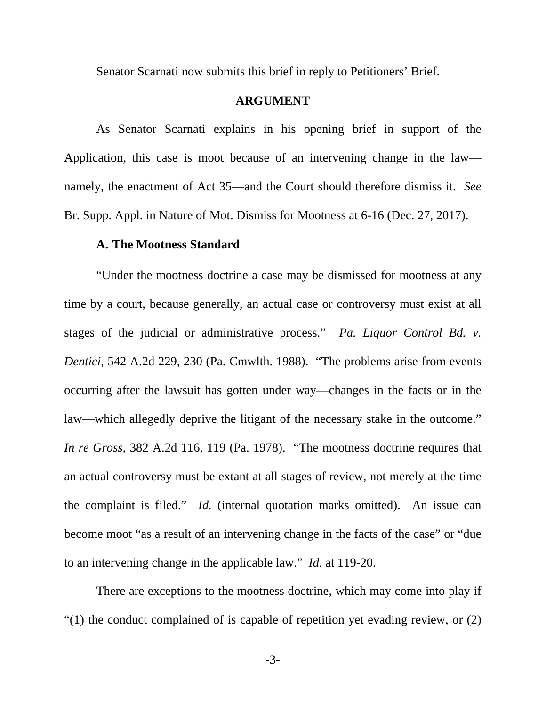Senator Scarnati now submits this brief in reply to Petitioners' Brief.

#### **ARGUMENT**

 As Senator Scarnati explains in his opening brief in support of the Application, this case is moot because of an intervening change in the law namely, the enactment of Act 35—and the Court should therefore dismiss it. *See*  Br. Supp. Appl. in Nature of Mot. Dismiss for Mootness at 6-16 (Dec. 27, 2017).

#### **A. The Mootness Standard**

 "Under the mootness doctrine a case may be dismissed for mootness at any time by a court, because generally, an actual case or controversy must exist at all stages of the judicial or administrative process." *Pa. Liquor Control Bd. v. Dentici*, 542 A.2d 229, 230 (Pa. Cmwlth. 1988). "The problems arise from events occurring after the lawsuit has gotten under way—changes in the facts or in the law—which allegedly deprive the litigant of the necessary stake in the outcome." *In re Gross*, 382 A.2d 116, 119 (Pa. 1978). "The mootness doctrine requires that an actual controversy must be extant at all stages of review, not merely at the time the complaint is filed." *Id.* (internal quotation marks omitted). An issue can become moot "as a result of an intervening change in the facts of the case" or "due to an intervening change in the applicable law." *Id*. at 119-20.

 There are exceptions to the mootness doctrine, which may come into play if "(1) the conduct complained of is capable of repetition yet evading review, or (2)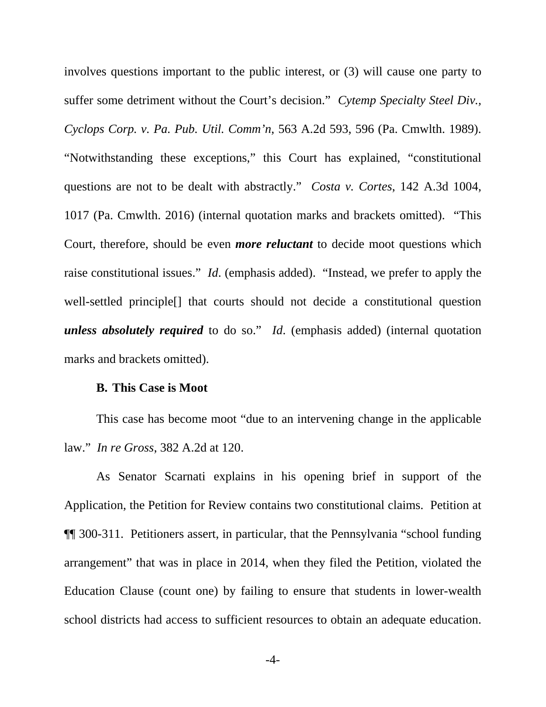involves questions important to the public interest, or (3) will cause one party to suffer some detriment without the Court's decision." *Cytemp Specialty Steel Div., Cyclops Corp. v. Pa. Pub. Util. Comm'n*, 563 A.2d 593, 596 (Pa. Cmwlth. 1989). "Notwithstanding these exceptions," this Court has explained, "constitutional questions are not to be dealt with abstractly." *Costa v. Cortes*, 142 A.3d 1004, 1017 (Pa. Cmwlth. 2016) (internal quotation marks and brackets omitted). "This Court, therefore, should be even *more reluctant* to decide moot questions which raise constitutional issues." *Id*. (emphasis added). "Instead, we prefer to apply the well-settled principle[] that courts should not decide a constitutional question *unless absolutely required* to do so." *Id*. (emphasis added) (internal quotation marks and brackets omitted).

#### **B. This Case is Moot**

 This case has become moot "due to an intervening change in the applicable law." *In re Gross*, 382 A.2d at 120.

As Senator Scarnati explains in his opening brief in support of the Application, the Petition for Review contains two constitutional claims. Petition at ¶¶ 300-311. Petitioners assert, in particular, that the Pennsylvania "school funding arrangement" that was in place in 2014, when they filed the Petition, violated the Education Clause (count one) by failing to ensure that students in lower-wealth school districts had access to sufficient resources to obtain an adequate education.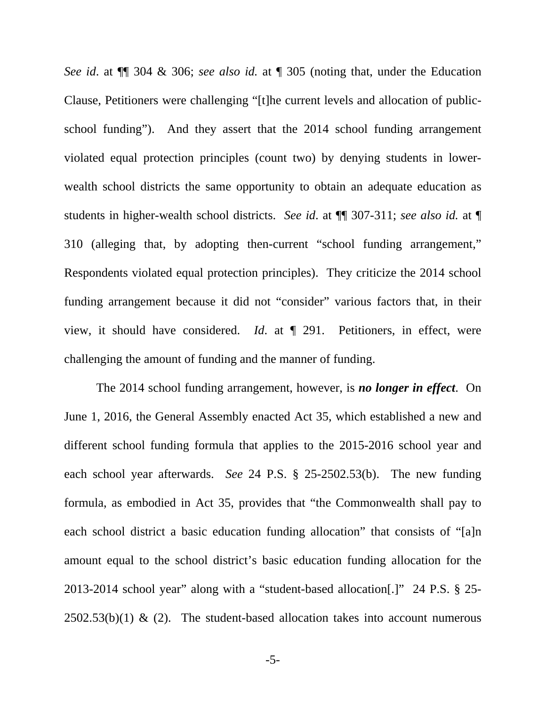*See id*. at ¶¶ 304 & 306; *see also id.* at ¶ 305 (noting that, under the Education Clause, Petitioners were challenging "[t]he current levels and allocation of publicschool funding"). And they assert that the 2014 school funding arrangement violated equal protection principles (count two) by denying students in lowerwealth school districts the same opportunity to obtain an adequate education as students in higher-wealth school districts. *See id*. at ¶¶ 307-311; *see also id.* at ¶ 310 (alleging that, by adopting then-current "school funding arrangement," Respondents violated equal protection principles). They criticize the 2014 school funding arrangement because it did not "consider" various factors that, in their view, it should have considered. *Id*. at ¶ 291. Petitioners, in effect, were challenging the amount of funding and the manner of funding.

 The 2014 school funding arrangement, however, is *no longer in effect*. On June 1, 2016, the General Assembly enacted Act 35, which established a new and different school funding formula that applies to the 2015-2016 school year and each school year afterwards. *See* 24 P.S. § 25-2502.53(b). The new funding formula, as embodied in Act 35, provides that "the Commonwealth shall pay to each school district a basic education funding allocation" that consists of "[a]n amount equal to the school district's basic education funding allocation for the 2013-2014 school year" along with a "student-based allocation[.]" 24 P.S. § 25-  $2502.53(b)(1)$  & (2). The student-based allocation takes into account numerous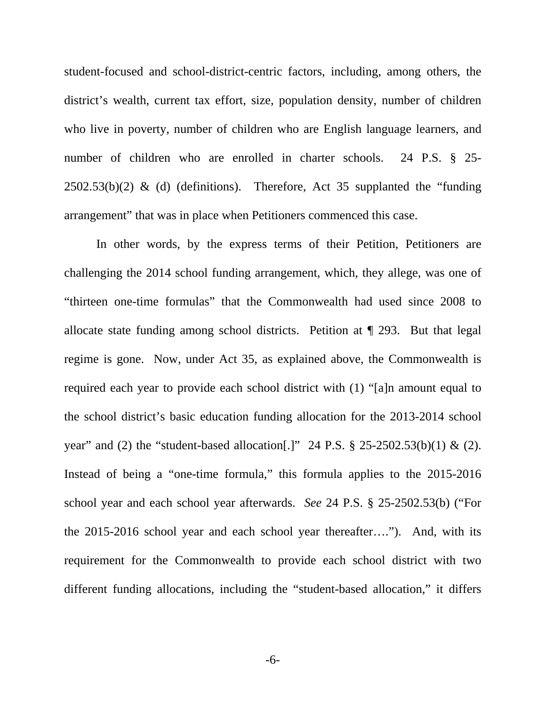student-focused and school-district-centric factors, including, among others, the district's wealth, current tax effort, size, population density, number of children who live in poverty, number of children who are English language learners, and number of children who are enrolled in charter schools. 24 P.S. § 25- $2502.53(b)(2)$  & (d) (definitions). Therefore, Act 35 supplanted the "funding arrangement" that was in place when Petitioners commenced this case.

 In other words, by the express terms of their Petition, Petitioners are challenging the 2014 school funding arrangement, which, they allege, was one of "thirteen one-time formulas" that the Commonwealth had used since 2008 to allocate state funding among school districts. Petition at ¶ 293. But that legal regime is gone. Now, under Act 35, as explained above, the Commonwealth is required each year to provide each school district with (1) "[a]n amount equal to the school district's basic education funding allocation for the 2013-2014 school year" and (2) the "student-based allocation.]" 24 P.S.  $\S$  25-2502.53(b)(1) & (2). Instead of being a "one-time formula," this formula applies to the 2015-2016 school year and each school year afterwards. *See* 24 P.S. § 25-2502.53(b) ("For the 2015-2016 school year and each school year thereafter…."). And, with its requirement for the Commonwealth to provide each school district with two different funding allocations, including the "student-based allocation," it differs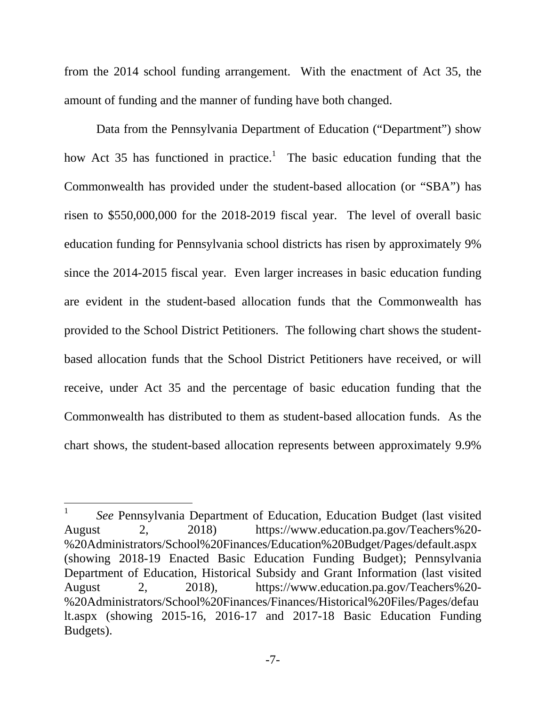from the 2014 school funding arrangement. With the enactment of Act 35, the amount of funding and the manner of funding have both changed.

 Data from the Pennsylvania Department of Education ("Department") show how Act 35 has functioned in practice.<sup>1</sup> The basic education funding that the Commonwealth has provided under the student-based allocation (or "SBA") has risen to \$550,000,000 for the 2018-2019 fiscal year. The level of overall basic education funding for Pennsylvania school districts has risen by approximately 9% since the 2014-2015 fiscal year. Even larger increases in basic education funding are evident in the student-based allocation funds that the Commonwealth has provided to the School District Petitioners. The following chart shows the studentbased allocation funds that the School District Petitioners have received, or will receive, under Act 35 and the percentage of basic education funding that the Commonwealth has distributed to them as student-based allocation funds. As the chart shows, the student-based allocation represents between approximately 9.9%

 $\overline{a}$ 

<sup>1</sup> *See* Pennsylvania Department of Education, Education Budget (last visited August 2, 2018) https://www.education.pa.gov/Teachers%20- %20Administrators/School%20Finances/Education%20Budget/Pages/default.aspx (showing 2018-19 Enacted Basic Education Funding Budget); Pennsylvania Department of Education, Historical Subsidy and Grant Information (last visited August 2, 2018), https://www.education.pa.gov/Teachers%20- %20Administrators/School%20Finances/Finances/Historical%20Files/Pages/defau lt.aspx (showing 2015-16, 2016-17 and 2017-18 Basic Education Funding Budgets).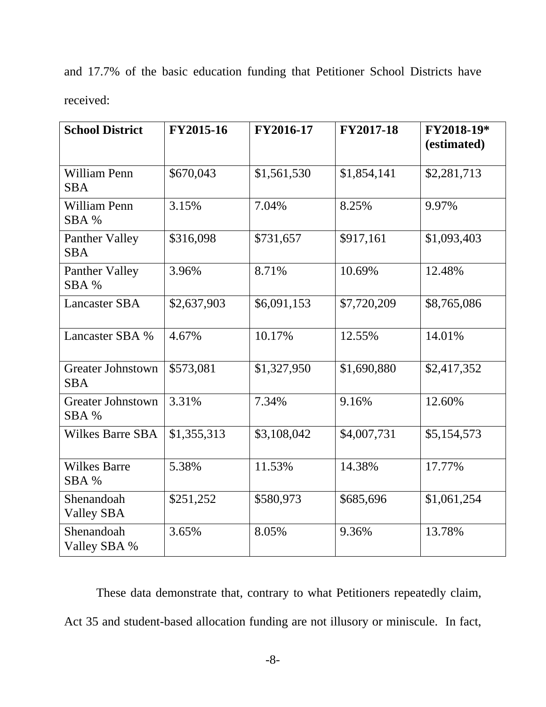|           |  | and 17.7% of the basic education funding that Petitioner School Districts have |  |  |  |
|-----------|--|--------------------------------------------------------------------------------|--|--|--|
| received: |  |                                                                                |  |  |  |

| <b>School District</b>                 | FY2015-16   | FY2016-17   | FY2017-18   | FY2018-19*<br>(estimated) |
|----------------------------------------|-------------|-------------|-------------|---------------------------|
| William Penn<br><b>SBA</b>             | \$670,043   | \$1,561,530 | \$1,854,141 | \$2,281,713               |
| William Penn<br>SBA %                  | 3.15%       | 7.04%       | 8.25%       | 9.97%                     |
| Panther Valley<br><b>SBA</b>           | \$316,098   | \$731,657   | \$917,161   | \$1,093,403               |
| Panther Valley<br>SBA %                | 3.96%       | 8.71%       | 10.69%      | 12.48%                    |
| <b>Lancaster SBA</b>                   | \$2,637,903 | \$6,091,153 | \$7,720,209 | \$8,765,086               |
| Lancaster SBA %                        | 4.67%       | 10.17%      | 12.55%      | 14.01%                    |
| <b>Greater Johnstown</b><br><b>SBA</b> | \$573,081   | \$1,327,950 | \$1,690,880 | \$2,417,352               |
| <b>Greater Johnstown</b><br>SBA %      | 3.31%       | 7.34%       | 9.16%       | 12.60%                    |
| <b>Wilkes Barre SBA</b>                | \$1,355,313 | \$3,108,042 | \$4,007,731 | \$5,154,573               |
| <b>Wilkes Barre</b><br>SBA %           | 5.38%       | 11.53%      | 14.38%      | 17.77%                    |
| Shenandoah<br><b>Valley SBA</b>        | \$251,252   | \$580,973   | \$685,696   | \$1,061,254               |
| Shenandoah<br>Valley SBA %             | 3.65%       | 8.05%       | 9.36%       | 13.78%                    |

These data demonstrate that, contrary to what Petitioners repeatedly claim, Act 35 and student-based allocation funding are not illusory or miniscule. In fact,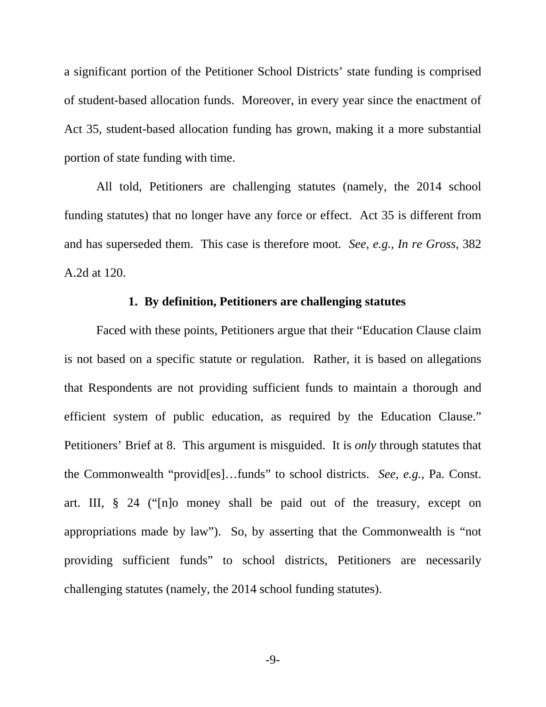a significant portion of the Petitioner School Districts' state funding is comprised of student-based allocation funds. Moreover, in every year since the enactment of Act 35, student-based allocation funding has grown, making it a more substantial portion of state funding with time.

All told, Petitioners are challenging statutes (namely, the 2014 school funding statutes) that no longer have any force or effect. Act 35 is different from and has superseded them. This case is therefore moot. *See, e.g., In re Gross*, 382 A.2d at 120.

## **1. By definition, Petitioners are challenging statutes**

 Faced with these points, Petitioners argue that their "Education Clause claim is not based on a specific statute or regulation. Rather, it is based on allegations that Respondents are not providing sufficient funds to maintain a thorough and efficient system of public education, as required by the Education Clause." Petitioners' Brief at 8. This argument is misguided. It is *only* through statutes that the Commonwealth "provid[es]…funds" to school districts. *See, e.g.,* Pa. Const. art. III, § 24 ("[n]o money shall be paid out of the treasury, except on appropriations made by law"). So, by asserting that the Commonwealth is "not providing sufficient funds" to school districts, Petitioners are necessarily challenging statutes (namely, the 2014 school funding statutes).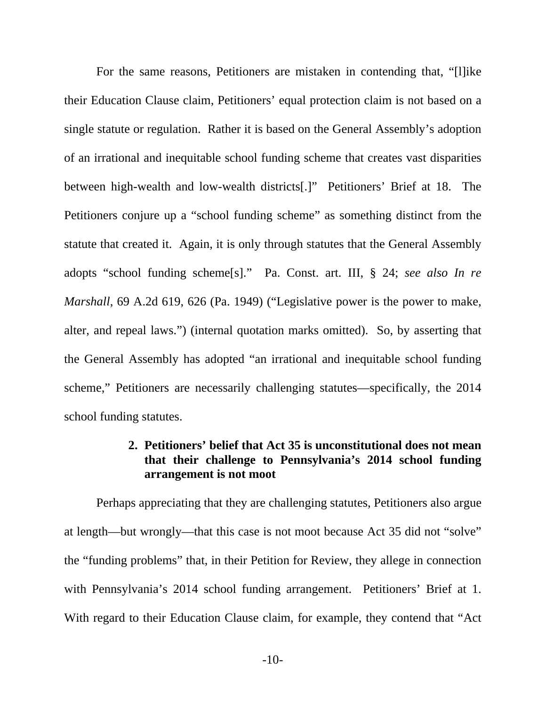For the same reasons, Petitioners are mistaken in contending that, "[l]ike their Education Clause claim, Petitioners' equal protection claim is not based on a single statute or regulation. Rather it is based on the General Assembly's adoption of an irrational and inequitable school funding scheme that creates vast disparities between high-wealth and low-wealth districts[.]" Petitioners' Brief at 18. The Petitioners conjure up a "school funding scheme" as something distinct from the statute that created it. Again, it is only through statutes that the General Assembly adopts "school funding scheme[s]." Pa. Const. art. III, § 24; *see also In re Marshall*, 69 A.2d 619, 626 (Pa. 1949) ("Legislative power is the power to make, alter, and repeal laws.") (internal quotation marks omitted). So, by asserting that the General Assembly has adopted "an irrational and inequitable school funding scheme," Petitioners are necessarily challenging statutes—specifically, the 2014 school funding statutes.

## **2. Petitioners' belief that Act 35 is unconstitutional does not mean that their challenge to Pennsylvania's 2014 school funding arrangement is not moot**

 Perhaps appreciating that they are challenging statutes, Petitioners also argue at length—but wrongly—that this case is not moot because Act 35 did not "solve" the "funding problems" that, in their Petition for Review, they allege in connection with Pennsylvania's 2014 school funding arrangement. Petitioners' Brief at 1. With regard to their Education Clause claim, for example, they contend that "Act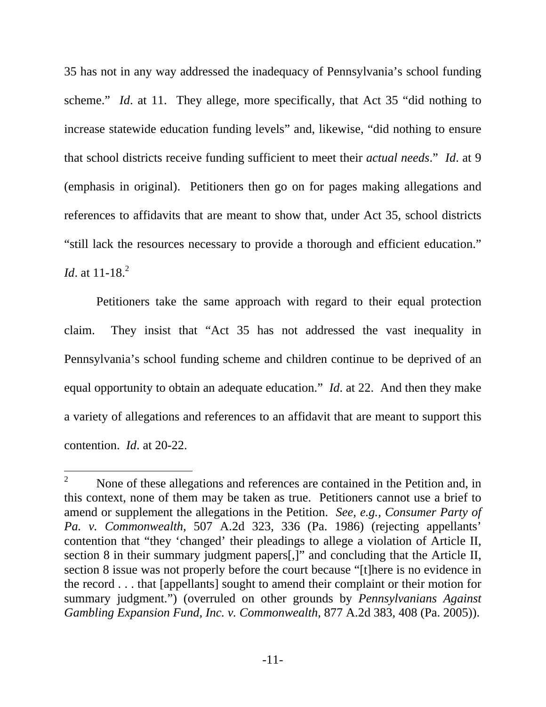35 has not in any way addressed the inadequacy of Pennsylvania's school funding scheme." *Id.* at 11. They allege, more specifically, that Act 35 "did nothing to increase statewide education funding levels" and, likewise, "did nothing to ensure that school districts receive funding sufficient to meet their *actual needs*." *Id*. at 9 (emphasis in original). Petitioners then go on for pages making allegations and references to affidavits that are meant to show that, under Act 35, school districts "still lack the resources necessary to provide a thorough and efficient education." *Id.* at 11-18.<sup>2</sup>

 Petitioners take the same approach with regard to their equal protection claim. They insist that "Act 35 has not addressed the vast inequality in Pennsylvania's school funding scheme and children continue to be deprived of an equal opportunity to obtain an adequate education." *Id*. at 22. And then they make a variety of allegations and references to an affidavit that are meant to support this contention. *Id*. at 20-22.

 $\overline{a}$ 

<sup>2</sup> None of these allegations and references are contained in the Petition and, in this context, none of them may be taken as true. Petitioners cannot use a brief to amend or supplement the allegations in the Petition. *See, e.g., Consumer Party of Pa. v. Commonwealth*, 507 A.2d 323, 336 (Pa. 1986) (rejecting appellants' contention that "they 'changed' their pleadings to allege a violation of Article II, section 8 in their summary judgment papers[,]" and concluding that the Article II, section 8 issue was not properly before the court because "[t]here is no evidence in the record . . . that [appellants] sought to amend their complaint or their motion for summary judgment.") (overruled on other grounds by *Pennsylvanians Against Gambling Expansion Fund, Inc. v. Commonwealth*, 877 A.2d 383, 408 (Pa. 2005)).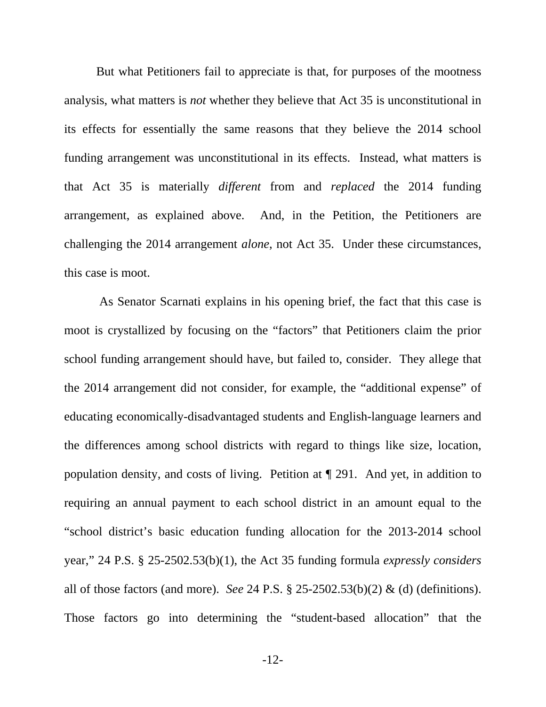But what Petitioners fail to appreciate is that, for purposes of the mootness analysis, what matters is *not* whether they believe that Act 35 is unconstitutional in its effects for essentially the same reasons that they believe the 2014 school funding arrangement was unconstitutional in its effects. Instead, what matters is that Act 35 is materially *different* from and *replaced* the 2014 funding arrangement, as explained above. And, in the Petition, the Petitioners are challenging the 2014 arrangement *alone*, not Act 35. Under these circumstances, this case is moot.

 As Senator Scarnati explains in his opening brief, the fact that this case is moot is crystallized by focusing on the "factors" that Petitioners claim the prior school funding arrangement should have, but failed to, consider. They allege that the 2014 arrangement did not consider, for example, the "additional expense" of educating economically-disadvantaged students and English-language learners and the differences among school districts with regard to things like size, location, population density, and costs of living. Petition at ¶ 291. And yet, in addition to requiring an annual payment to each school district in an amount equal to the "school district's basic education funding allocation for the 2013-2014 school year," 24 P.S. § 25-2502.53(b)(1), the Act 35 funding formula *expressly considers* all of those factors (and more). *See* 24 P.S. § 25-2502.53(b)(2) & (d) (definitions). Those factors go into determining the "student-based allocation" that the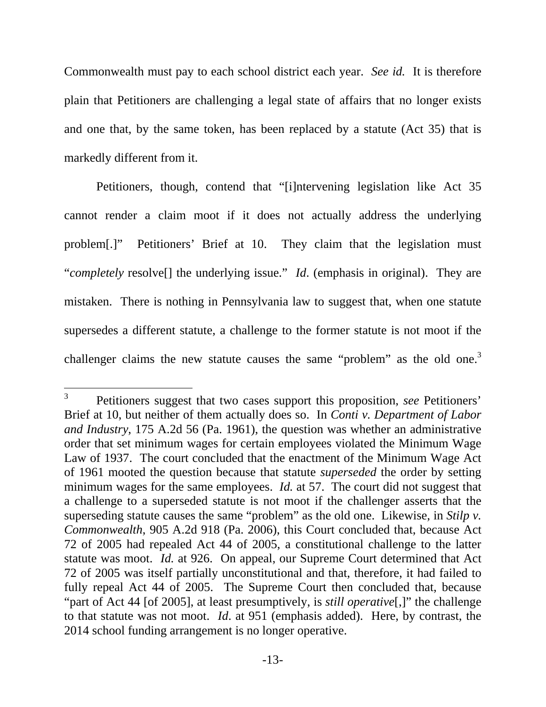Commonwealth must pay to each school district each year. *See id.* It is therefore plain that Petitioners are challenging a legal state of affairs that no longer exists and one that, by the same token, has been replaced by a statute (Act 35) that is markedly different from it.

 Petitioners, though, contend that "[i]ntervening legislation like Act 35 cannot render a claim moot if it does not actually address the underlying problem[.]" Petitioners' Brief at 10. They claim that the legislation must "*completely* resolve[] the underlying issue." *Id.* (emphasis in original). They are mistaken. There is nothing in Pennsylvania law to suggest that, when one statute supersedes a different statute, a challenge to the former statute is not moot if the challenger claims the new statute causes the same "problem" as the old one.<sup>3</sup>

 $\overline{a}$ 

<sup>3</sup> Petitioners suggest that two cases support this proposition, *see* Petitioners' Brief at 10, but neither of them actually does so. In *Conti v. Department of Labor and Industry*, 175 A.2d 56 (Pa. 1961), the question was whether an administrative order that set minimum wages for certain employees violated the Minimum Wage Law of 1937. The court concluded that the enactment of the Minimum Wage Act of 1961 mooted the question because that statute *superseded* the order by setting minimum wages for the same employees. *Id.* at 57. The court did not suggest that a challenge to a superseded statute is not moot if the challenger asserts that the superseding statute causes the same "problem" as the old one. Likewise, in *Stilp v. Commonwealth*, 905 A.2d 918 (Pa. 2006), this Court concluded that, because Act 72 of 2005 had repealed Act 44 of 2005, a constitutional challenge to the latter statute was moot. *Id.* at 926. On appeal, our Supreme Court determined that Act 72 of 2005 was itself partially unconstitutional and that, therefore, it had failed to fully repeal Act 44 of 2005. The Supreme Court then concluded that, because "part of Act 44 [of 2005], at least presumptively, is *still operative*[,]" the challenge to that statute was not moot. *Id*. at 951 (emphasis added). Here, by contrast, the 2014 school funding arrangement is no longer operative.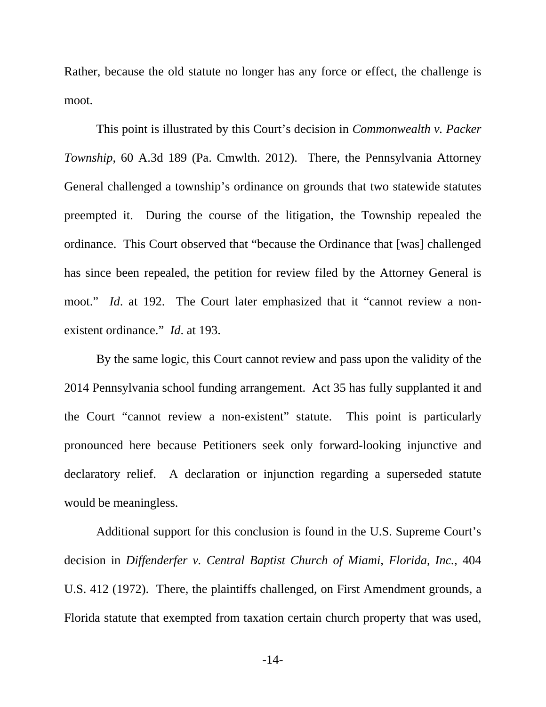Rather, because the old statute no longer has any force or effect, the challenge is moot.

This point is illustrated by this Court's decision in *Commonwealth v. Packer Township*, 60 A.3d 189 (Pa. Cmwlth. 2012). There, the Pennsylvania Attorney General challenged a township's ordinance on grounds that two statewide statutes preempted it. During the course of the litigation, the Township repealed the ordinance. This Court observed that "because the Ordinance that [was] challenged has since been repealed, the petition for review filed by the Attorney General is moot." *Id.* at 192. The Court later emphasized that it "cannot review a nonexistent ordinance." *Id*. at 193.

 By the same logic, this Court cannot review and pass upon the validity of the 2014 Pennsylvania school funding arrangement. Act 35 has fully supplanted it and the Court "cannot review a non-existent" statute. This point is particularly pronounced here because Petitioners seek only forward-looking injunctive and declaratory relief. A declaration or injunction regarding a superseded statute would be meaningless.

 Additional support for this conclusion is found in the U.S. Supreme Court's decision in *Diffenderfer v. Central Baptist Church of Miami, Florida, Inc.*, 404 U.S. 412 (1972). There, the plaintiffs challenged, on First Amendment grounds, a Florida statute that exempted from taxation certain church property that was used,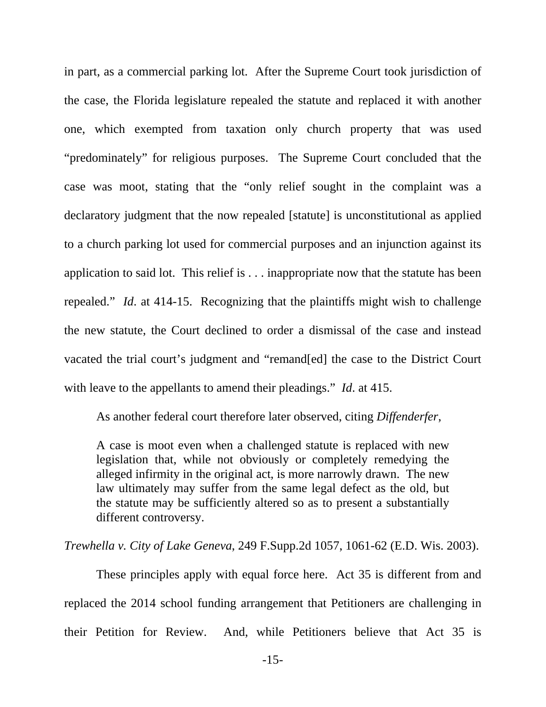in part, as a commercial parking lot. After the Supreme Court took jurisdiction of the case, the Florida legislature repealed the statute and replaced it with another one, which exempted from taxation only church property that was used "predominately" for religious purposes. The Supreme Court concluded that the case was moot, stating that the "only relief sought in the complaint was a declaratory judgment that the now repealed [statute] is unconstitutional as applied to a church parking lot used for commercial purposes and an injunction against its application to said lot. This relief is . . . inappropriate now that the statute has been repealed." *Id*. at 414-15. Recognizing that the plaintiffs might wish to challenge the new statute, the Court declined to order a dismissal of the case and instead vacated the trial court's judgment and "remand[ed] the case to the District Court with leave to the appellants to amend their pleadings." *Id*. at 415.

As another federal court therefore later observed, citing *Diffenderfer*,

A case is moot even when a challenged statute is replaced with new legislation that, while not obviously or completely remedying the alleged infirmity in the original act, is more narrowly drawn. The new law ultimately may suffer from the same legal defect as the old, but the statute may be sufficiently altered so as to present a substantially different controversy.

*Trewhella v. City of Lake Geneva*, 249 F.Supp.2d 1057, 1061-62 (E.D. Wis. 2003).

 These principles apply with equal force here. Act 35 is different from and replaced the 2014 school funding arrangement that Petitioners are challenging in their Petition for Review. And, while Petitioners believe that Act 35 is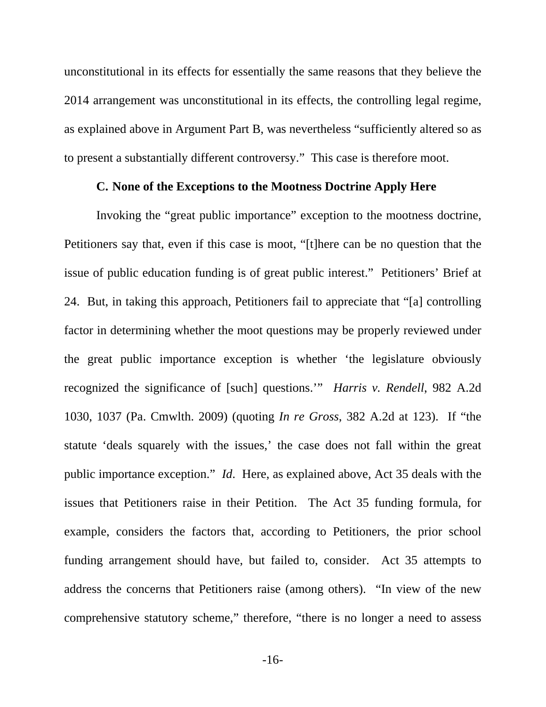unconstitutional in its effects for essentially the same reasons that they believe the 2014 arrangement was unconstitutional in its effects, the controlling legal regime, as explained above in Argument Part B, was nevertheless "sufficiently altered so as to present a substantially different controversy." This case is therefore moot.

#### **C. None of the Exceptions to the Mootness Doctrine Apply Here**

 Invoking the "great public importance" exception to the mootness doctrine, Petitioners say that, even if this case is moot, "[t]here can be no question that the issue of public education funding is of great public interest." Petitioners' Brief at 24. But, in taking this approach, Petitioners fail to appreciate that "[a] controlling factor in determining whether the moot questions may be properly reviewed under the great public importance exception is whether 'the legislature obviously recognized the significance of [such] questions.'" *Harris v. Rendell*, 982 A.2d 1030, 1037 (Pa. Cmwlth. 2009) (quoting *In re Gross*, 382 A.2d at 123). If "the statute 'deals squarely with the issues,' the case does not fall within the great public importance exception." *Id*. Here, as explained above, Act 35 deals with the issues that Petitioners raise in their Petition. The Act 35 funding formula, for example, considers the factors that, according to Petitioners, the prior school funding arrangement should have, but failed to, consider. Act 35 attempts to address the concerns that Petitioners raise (among others). "In view of the new comprehensive statutory scheme," therefore, "there is no longer a need to assess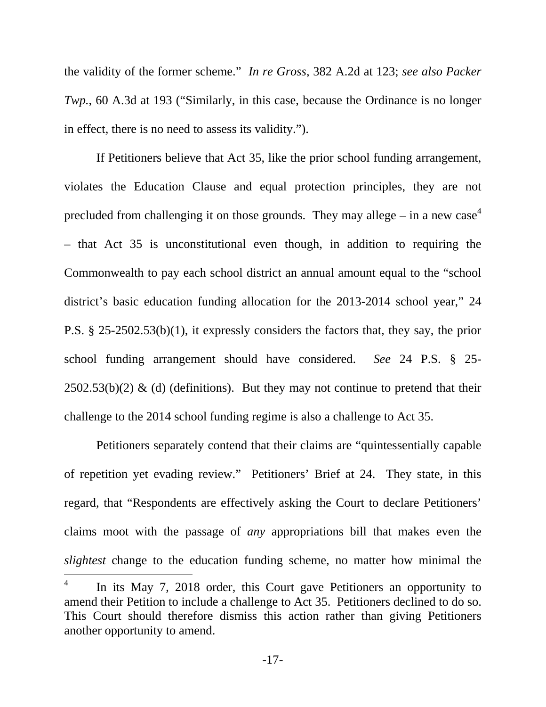the validity of the former scheme." *In re Gross*, 382 A.2d at 123; *see also Packer Twp.*, 60 A.3d at 193 ("Similarly, in this case, because the Ordinance is no longer in effect, there is no need to assess its validity.").

 If Petitioners believe that Act 35, like the prior school funding arrangement, violates the Education Clause and equal protection principles, they are not precluded from challenging it on those grounds. They may allege – in a new case<sup>4</sup> – that Act 35 is unconstitutional even though, in addition to requiring the Commonwealth to pay each school district an annual amount equal to the "school district's basic education funding allocation for the 2013-2014 school year," 24 P.S. § 25-2502.53(b)(1), it expressly considers the factors that, they say, the prior school funding arrangement should have considered. *See* 24 P.S. § 25-  $2502.53(b)(2)$  & (d) (definitions). But they may not continue to pretend that their challenge to the 2014 school funding regime is also a challenge to Act 35.

 Petitioners separately contend that their claims are "quintessentially capable of repetition yet evading review." Petitioners' Brief at 24. They state, in this regard, that "Respondents are effectively asking the Court to declare Petitioners' claims moot with the passage of *any* appropriations bill that makes even the *slightest* change to the education funding scheme, no matter how minimal the  $\overline{a}$ 4 In its May 7, 2018 order, this Court gave Petitioners an opportunity to amend their Petition to include a challenge to Act 35. Petitioners declined to do so. This Court should therefore dismiss this action rather than giving Petitioners

another opportunity to amend.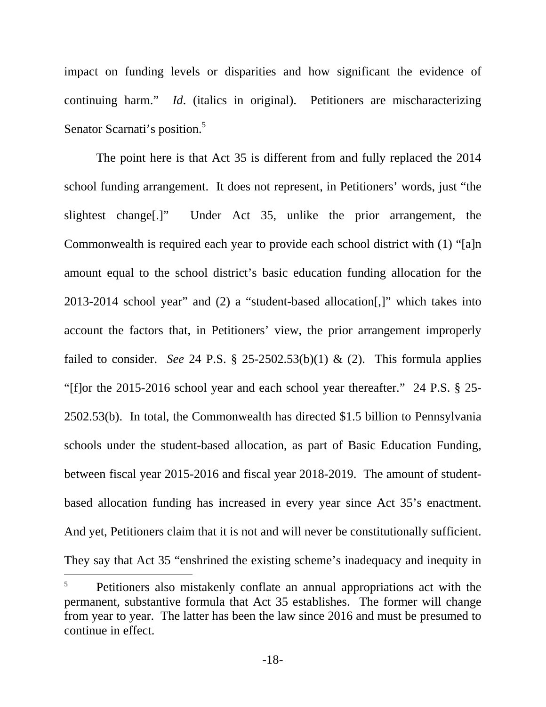impact on funding levels or disparities and how significant the evidence of continuing harm." *Id*. (italics in original). Petitioners are mischaracterizing Senator Scarnati's position.<sup>5</sup>

 The point here is that Act 35 is different from and fully replaced the 2014 school funding arrangement. It does not represent, in Petitioners' words, just "the slightest change[.]" Under Act 35, unlike the prior arrangement, the Commonwealth is required each year to provide each school district with (1) "[a]n amount equal to the school district's basic education funding allocation for the 2013-2014 school year" and (2) a "student-based allocation[,]" which takes into account the factors that, in Petitioners' view, the prior arrangement improperly failed to consider. *See* 24 P.S. § 25-2502.53(b)(1) & (2). This formula applies "[f]or the 2015-2016 school year and each school year thereafter." 24 P.S. § 25- 2502.53(b). In total, the Commonwealth has directed \$1.5 billion to Pennsylvania schools under the student-based allocation, as part of Basic Education Funding, between fiscal year 2015-2016 and fiscal year 2018-2019. The amount of studentbased allocation funding has increased in every year since Act 35's enactment. And yet, Petitioners claim that it is not and will never be constitutionally sufficient. They say that Act 35 "enshrined the existing scheme's inadequacy and inequity in

 $\overline{a}$ 

<sup>5</sup> Petitioners also mistakenly conflate an annual appropriations act with the permanent, substantive formula that Act 35 establishes. The former will change from year to year. The latter has been the law since 2016 and must be presumed to continue in effect.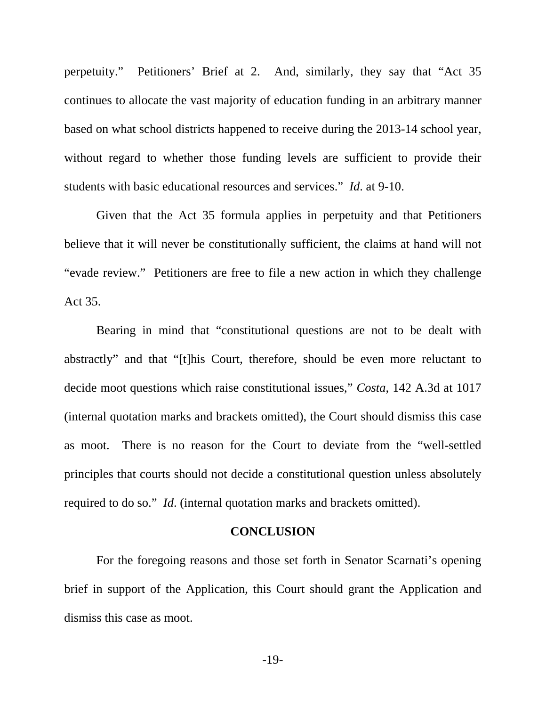perpetuity." Petitioners' Brief at 2. And, similarly, they say that "Act 35 continues to allocate the vast majority of education funding in an arbitrary manner based on what school districts happened to receive during the 2013-14 school year, without regard to whether those funding levels are sufficient to provide their students with basic educational resources and services." *Id*. at 9-10.

 Given that the Act 35 formula applies in perpetuity and that Petitioners believe that it will never be constitutionally sufficient, the claims at hand will not "evade review." Petitioners are free to file a new action in which they challenge Act 35.

 Bearing in mind that "constitutional questions are not to be dealt with abstractly" and that "[t]his Court, therefore, should be even more reluctant to decide moot questions which raise constitutional issues," *Costa*, 142 A.3d at 1017 (internal quotation marks and brackets omitted), the Court should dismiss this case as moot. There is no reason for the Court to deviate from the "well-settled principles that courts should not decide a constitutional question unless absolutely required to do so." *Id*. (internal quotation marks and brackets omitted).

#### **CONCLUSION**

For the foregoing reasons and those set forth in Senator Scarnati's opening brief in support of the Application, this Court should grant the Application and dismiss this case as moot.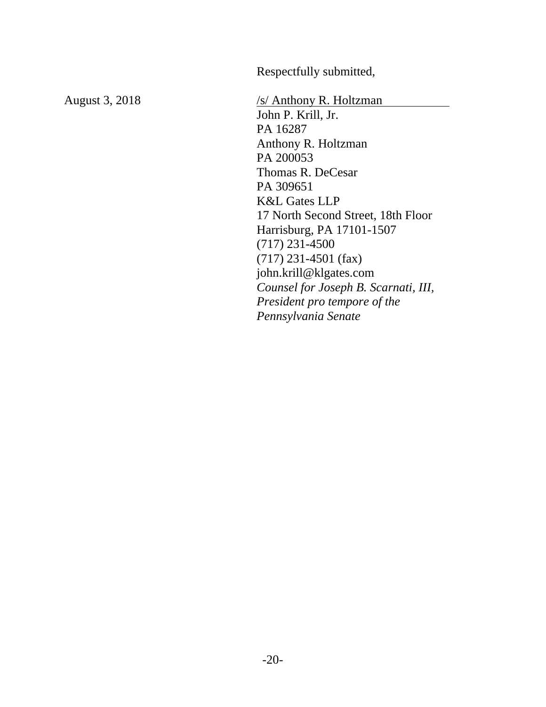Respectfully submitted,

August 3, 2018 /s/ Anthony R. Holtzman John P. Krill, Jr. PA 16287 Anthony R. Holtzman PA 200053 Thomas R. DeCesar PA 309651 K&L Gates LLP 17 North Second Street, 18th Floor Harrisburg, PA 17101-1507 (717) 231-4500 (717) 231-4501 (fax) john.krill@klgates.com *Counsel for Joseph B. Scarnati, III, President pro tempore of the Pennsylvania Senate*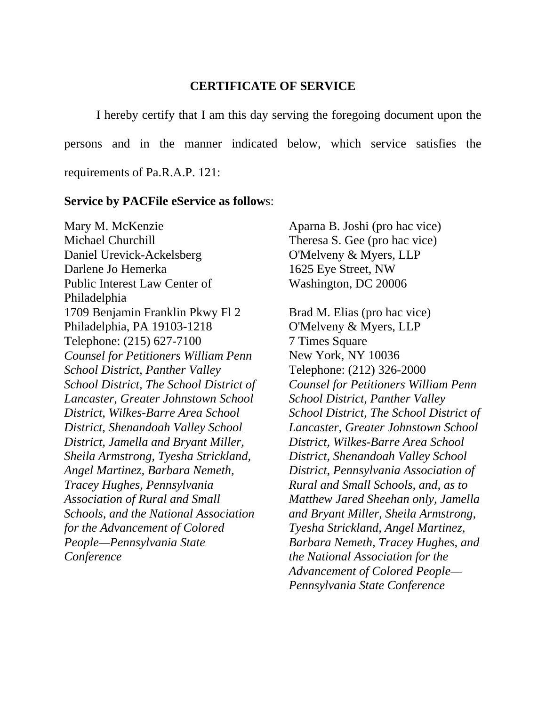#### **CERTIFICATE OF SERVICE**

 I hereby certify that I am this day serving the foregoing document upon the persons and in the manner indicated below, which service satisfies the requirements of Pa.R.A.P. 121:

#### **Service by PACFile eService as follow**s:

Mary M. McKenzie Michael Churchill Daniel Urevick-Ackelsberg Darlene Jo Hemerka Public Interest Law Center of Philadelphia 1709 Benjamin Franklin Pkwy Fl 2 Philadelphia, PA 19103-1218 Telephone: (215) 627-7100 *Counsel for Petitioners William Penn School District, Panther Valley School District, The School District of Lancaster, Greater Johnstown School District, Wilkes-Barre Area School District, Shenandoah Valley School District, Jamella and Bryant Miller, Sheila Armstrong, Tyesha Strickland, Angel Martinez, Barbara Nemeth, Tracey Hughes, Pennsylvania Association of Rural and Small Schools, and the National Association for the Advancement of Colored People—Pennsylvania State Conference* 

Aparna B. Joshi (pro hac vice) Theresa S. Gee (pro hac vice) O'Melveny & Myers, LLP 1625 Eye Street, NW Washington, DC 20006

Brad M. Elias (pro hac vice) O'Melveny & Myers, LLP 7 Times Square New York, NY 10036 Telephone: (212) 326-2000 *Counsel for Petitioners William Penn School District, Panther Valley School District, The School District of Lancaster, Greater Johnstown School District, Wilkes-Barre Area School District, Shenandoah Valley School District, Pennsylvania Association of Rural and Small Schools, and, as to Matthew Jared Sheehan only, Jamella and Bryant Miller, Sheila Armstrong, Tyesha Strickland, Angel Martinez, Barbara Nemeth, Tracey Hughes, and the National Association for the Advancement of Colored People— Pennsylvania State Conference*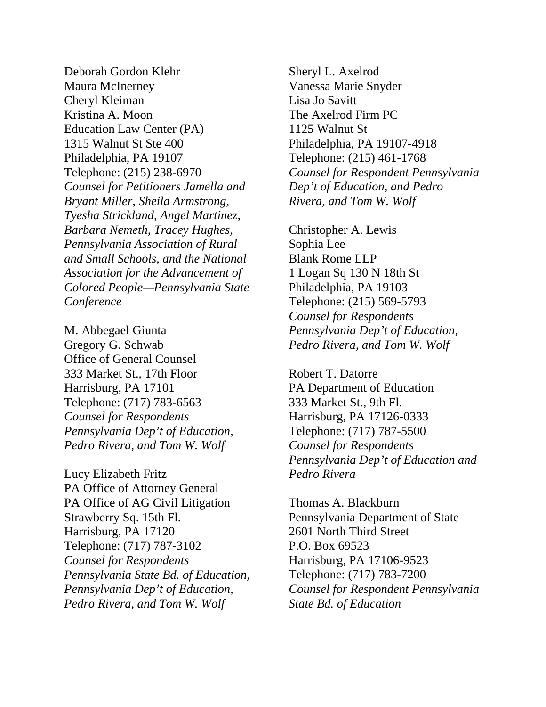Deborah Gordon Klehr Maura McInerney Cheryl Kleiman Kristina A. Moon Education Law Center (PA) 1315 Walnut St Ste 400 Philadelphia, PA 19107 Telephone: (215) 238-6970 *Counsel for Petitioners Jamella and Bryant Miller, Sheila Armstrong, Tyesha Strickland, Angel Martinez, Barbara Nemeth, Tracey Hughes, Pennsylvania Association of Rural and Small Schools, and the National Association for the Advancement of Colored People—Pennsylvania State Conference*

M. Abbegael Giunta Gregory G. Schwab Office of General Counsel 333 Market St., 17th Floor Harrisburg, PA 17101 Telephone: (717) 783-6563 *Counsel for Respondents Pennsylvania Dep't of Education, Pedro Rivera, and Tom W. Wolf* 

Lucy Elizabeth Fritz PA Office of Attorney General PA Office of AG Civil Litigation Strawberry Sq. 15th Fl. Harrisburg, PA 17120 Telephone: (717) 787-3102 *Counsel for Respondents Pennsylvania State Bd. of Education, Pennsylvania Dep't of Education, Pedro Rivera, and Tom W. Wolf* 

Sheryl L. Axelrod Vanessa Marie Snyder Lisa Jo Savitt The Axelrod Firm PC 1125 Walnut St Philadelphia, PA 19107-4918 Telephone: (215) 461-1768 *Counsel for Respondent Pennsylvania Dep't of Education, and Pedro Rivera, and Tom W. Wolf* 

Christopher A. Lewis Sophia Lee Blank Rome LLP 1 Logan Sq 130 N 18th St Philadelphia, PA 19103 Telephone: (215) 569-5793 *Counsel for Respondents Pennsylvania Dep't of Education, Pedro Rivera, and Tom W. Wolf* 

Robert T. Datorre PA Department of Education 333 Market St., 9th Fl. Harrisburg, PA 17126-0333 Telephone: (717) 787-5500 *Counsel for Respondents Pennsylvania Dep't of Education and Pedro Rivera* 

Thomas A. Blackburn Pennsylvania Department of State 2601 North Third Street P.O. Box 69523 Harrisburg, PA 17106-9523 Telephone: (717) 783-7200 *Counsel for Respondent Pennsylvania State Bd. of Education*